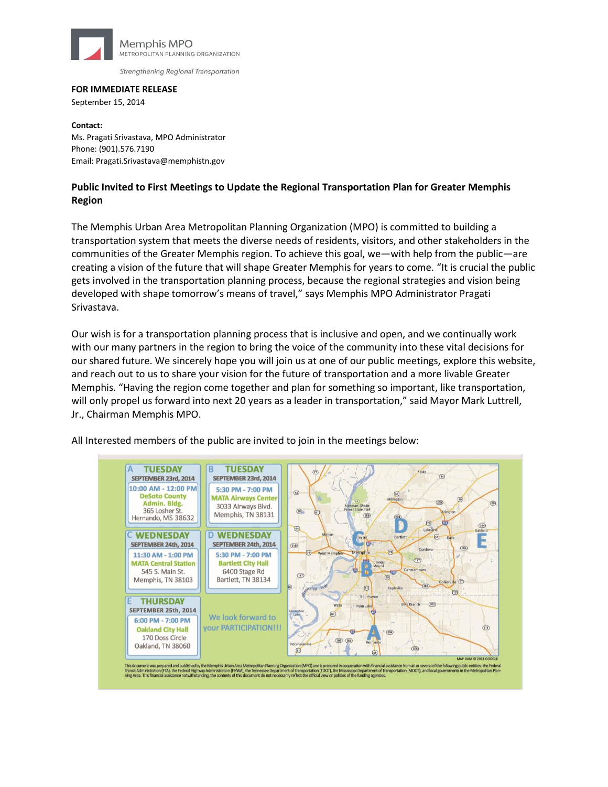

Strengthening Regional Transportation

## **FOR IMMEDIATE RELEASE**

September 15, 2014

**Contact:**  Ms. Pragati Srivastava, MPO Administrator Phone: (901).576.7190 Email: Pragati.Srivastava@memphistn.gov

## **Public Invited to First Meetings to Update the Regional Transportation Plan for Greater Memphis Region**

The Memphis Urban Area Metropolitan Planning Organization (MPO) is committed to building a transportation system that meets the diverse needs of residents, visitors, and other stakeholders in the communities of the Greater Memphis region. To achieve this goal, we—with help from the public—are creating a vision of the future that will shape Greater Memphis for years to come. "It is crucial the public gets involved in the transportation planning process, because the regional strategies and vision being developed with shape tomorrow's means of travel," says Memphis MPO Administrator Pragati Srivastava.

Our wish is for a transportation planning process that is inclusive and open, and we continually work with our many partners in the region to bring the voice of the community into these vital decisions for our shared future. We sincerely hope you will join us at one of our public meetings, explore this website, and reach out to us to share your vision for the future of transportation and a more livable Greater Memphis. "Having the region come together and plan for something so important, like transportation, will only propel us forward into next 20 years as a leader in transportation," said Mayor Mark Luttrell, Jr., Chairman Memphis MPO.

All Interested members of the public are invited to join in the meetings below: